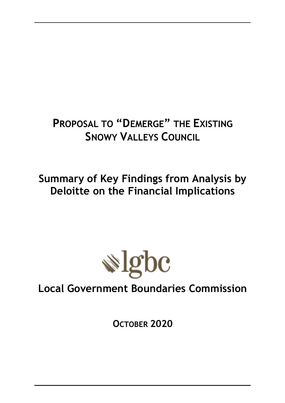# **PROPOSAL TO "DEMERGE" THE EXISTING SNOWY VALLEYS COUNCIL**

**Summary of Key Findings from Analysis by Deloitte on the Financial Implications**



**Local Government Boundaries Commission**

**OCTOBER 2020**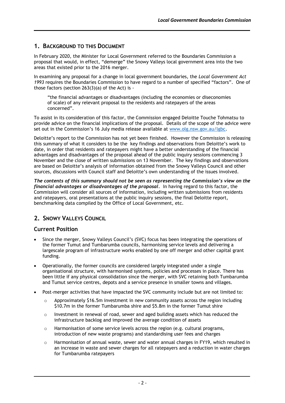# **1. BACKGROUND TO THIS DOCUMENT**

In February 2020, the Minister for Local Government referred to the Boundaries Commission a proposal that would, in effect, "demerge" the Snowy Valleys local government area into the two areas that existed prior to the 2016 merger.

In examining any proposal for a change in local government boundaries, the *Local Government Act 1993* requires the Boundaries Commission to have regard to a number of specified "factors". One of those factors (section 263(3)(a) of the Act) is -

"the financial advantages or disadvantages (including the economies or diseconomies of scale) of any relevant proposal to the residents and ratepayers of the areas concerned".

To assist in its consideration of this factor, the Commission engaged Deloitte Touche Tohmatsu to provide advice on the financial implications of the proposal. Details of the scope of the advice were set out in the Commission's 16 July media release available at [www.olg.nsw.gov.au/lgbc.](www.olg.nsw.gov.au/lgbc)

Deloitte's report to the Commission has not yet been finished. However the Commission is releasing this summary of what it considers to be the key findings and observations from Deloitte's work to date, in order that residents and ratepayers might have a better understanding of the financial advantages and disadvantages of the proposal ahead of the public inquiry sessions commencing 3 November and the close of written submissions on 13 November. The key findings and observations are based on Deloitte's analysis of information obtained from the Snowy Valleys Council and other sources, discussions with Council staff and Deloitte's own understanding of the issues involved.

*The contents of this summary should not be seen as representing the Commission's view on the financial advantages or disadvantages of the proposal.* In having regard to this factor, the Commission will consider all sources of information, including written submissions from residents and ratepayers, oral presentations at the public inquiry sessions, the final Deloitte report, benchmarking data compiled by the Office of Local Government, etc.

# **2. SNOWY VALLEYS COUNCIL**

## **Current Position**

- Since the merger, Snowy Valleys Council's (SVC) focus has been integrating the operations of the former Tumut and Tumbarumba councils, harmonising service levels and delivering a largescale program of infrastructure works enabled by one off merger and other capital grant funding.
- Operationally, the former councils are considered largely integrated under a single organisational structure, with harmonised systems, policies and processes in place. There has been little if any physical consolidation since the merger, with SVC retaining both Tumbarumba and Tumut service centres, depots and a service presence in smaller towns and villages.
- Post-merger activities that have impacted the SVC community include but are not limited to:
	- $\circ$  Approximately \$16.5m investment in new community assets across the region including \$10.7m in the former Tumbarumba shire and \$5.8m in the former Tumut shire
	- $\circ$  Investment in renewal of road, sewer and aged building assets which has reduced the infrastructure backlog and improved the average condition of assets
	- $\circ$  Harmonisation of some service levels across the region (e.g. cultural programs, introduction of new waste programs) and standardising user fees and charges
	- o Harmonisation of annual waste, sewer and water annual charges in FY19, which resulted in an increase in waste and sewer charges for all ratepayers and a reduction in water charges for Tumbarumba ratepayers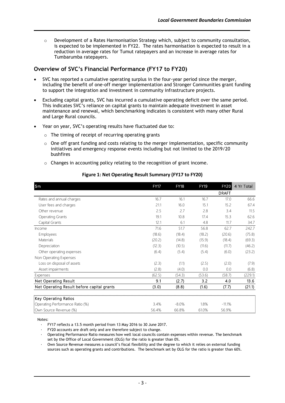$\circ$  Development of a Rates Harmonisation Strategy which, subject to community consultation, is expected to be implemented in FY22. The rates harmonisation is expected to result in a reduction in average rates for Tumut ratepayers and an increase in average rates for Tumbarumba ratepayers.

# **Overview of SVC's Financial Performance (FY17 to FY20)**

- SVC has reported a cumulative operating surplus in the four-year period since the merger, including the benefit of one-off merger implementation and Stronger Communities grant funding to support the integration and investment in community infrastructure projects.
- Excluding capital grants, SVC has incurred a cumulative operating deficit over the same period. This indicates SVC's reliance on capital grants to maintain adequate investment in asset maintenance and renewal, which benchmarking indicates is consistent with many other Rural and Large Rural councils.
- Year on year, SVC's operating results have fluctuated due to:
	- $\circ$  The timing of receipt of recurring operating grants
	- $\circ$  One off grant funding and costs relating to the merger implementation, specific community initiatives and emergency response events including but not limited to the 2019/20 bushfires
	- o Changes in accounting policy relating to the recognition of grant income.

| Figure 1: Net Operating Result Summary (FY17 to FY20) |             |             |             |              |            |
|-------------------------------------------------------|-------------|-------------|-------------|--------------|------------|
| $\mathsf{S}$ m                                        | <b>FY17</b> | <b>FY18</b> | <b>FY19</b> | <b>FY20</b>  | 4 Yr Total |
|                                                       |             |             |             | <b>DRAFT</b> |            |
| Rates and annual charges                              | 16.7        | 16.1        | 16.7        | 17.0         | 66.6       |
| User fees and charges                                 | 21.1        | 16.0        | 15.1        | 15.2         | 67.4       |
| Other revenue                                         | 2.5         | 2.7         | 2.8         | 3.4          | 11.5       |
| <b>Operating Grants</b>                               | 19.1        | 10.8        | 17.4        | 15.3         | 62.6       |
| Capital Grants                                        | 12.1        | 6.1         | 4.8         | 11.7         | 34.7       |
| Income                                                | 71.6        | 51.7        | 56.8        | 62.7         | 242.7      |
| Employees                                             | (18.6)      | (18.4)      | (18.2)      | (20.6)       | (75.8)     |
| Materials                                             | (20.2)      | (14.8)      | (15.9)      | (18.4)       | (69.3)     |
| Depreciation                                          | (12.3)      | (10.5)      | (11.6)      | (11.7)       | (46.2)     |
| Other operating expenses                              | (6.4)       | (5.4)       | (5.4)       | (6.0)        | (23.2)     |
| Non Operating Expenses                                |             |             |             |              |            |
| Loss on disposal of assets                            | (2.3)       | (1.1)       | (2.5)       | (2.0)        | (7.9)      |
| Asset impairments                                     | (2.8)       | (4.0)       | 0.0         | 0.0          | (6.8)      |
| Expenses                                              | (62.5)      | (54.3)      | (53.6)      | (58.7)       | (229.1)    |
| Net Operating Result                                  | 9.1         | (2.7)       | 3.2         | 4.0          | 13.6       |
| Net Operating Result before capital grants            | (3.0)       | (8.8)       | (1.6)       | (7.7)        | (21.1)     |
| Key Operating Ratios                                  |             |             |             |              |            |
| Operating Performance Ratio (%)                       | 3.4%        | $-8.0%$     | 1.8%        | $-11.1%$     |            |
| Own Source Revenue (%)                                | 56.4%       | 66.8%       | 61.0%       | 56.9%        |            |

#### **Figure 1: Net Operating Result Summary (FY17 to FY20)**

Notes:

∙ FY17 reflects a 13.5 month period from 13 May 2016 to 30 June 2017.

FY20 accounts are draft only and are therefore subject to change.

∙ Operating Performance Ratio measures how well local councils contain expenses within revenue. The benchmark set by the Office of Local Government (OLG) for the ratio is greater than 0%.

∙ Own Source Revenue measures a council's fiscal flexibility and the degree to which it relies on external funding sources such as operating grants and contributions. The benchmark set by OLG for the ratio is greater than 60%.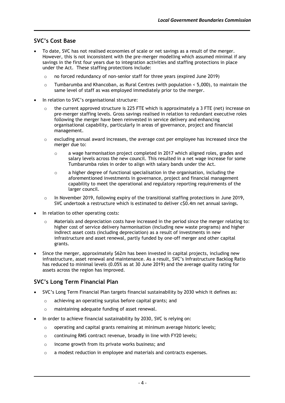# **SVC's Cost Base**

- To date, SVC has not realised economies of scale or net savings as a result of the merger. However, this is not inconsistent with the pre-merger modelling which assumed minimal if any savings in the first four years due to integration activities and staffing protections in place under the Act. These staffing protections include:
	- o no forced redundancy of non-senior staff for three years (expired June 2019)
	- $\circ$  Tumbarumba and Khancoban, as Rural Centres (with population  $\leq$  5,000), to maintain the same level of staff as was employed immediately prior to the merger.
- In relation to SVC's organisational structure:
	- $\circ$  the current approved structure is 225 FTE which is approximately a 3 FTE (net) increase on pre-merger staffing levels. Gross savings realised in relation to redundant executive roles following the merger have been reinvested in service delivery and enhancing organisational capability, particularly in areas of governance, project and financial management.
	- $\circ$  excluding annual award increases, the average cost per employee has increased since the merger due to:
		- o a wage harmonisation project completed in 2017 which aligned roles, grades and salary levels across the new council. This resulted in a net wage increase for some Tumbarumba roles in order to align with salary bands under the Act.
		- $\circ$  a higher degree of functional specialisation in the organisation, including the aforementioned investments in governance, project and financial management capability to meet the operational and regulatory reporting requirements of the larger council.
	- $\circ$  In November 2019, following expiry of the transitional staffing protections in June 2019, SVC undertook a restructure which is estimated to deliver c\$0.4m net annual savings.
- In relation to other operating costs:
	- $\circ$  Materials and depreciation costs have increased in the period since the merger relating to: higher cost of service delivery harmonisation (including new waste programs) and higher indirect asset costs (including depreciation) as a result of investments in new infrastructure and asset renewal, partly funded by one-off merger and other capital grants.
- Since the merger, approximately \$62m has been invested in capital projects, including new infrastructure, asset renewal and maintenance. As a result, SVC's Infrastructure Backlog Ratio has reduced to minimal levels (0.05% as at 30 June 2019) and the average quality rating for assets across the region has improved.

# **SVC's Long Term Financial Plan**

- SVC's Long Term Financial Plan targets financial sustainability by 2030 which it defines as:
	- o achieving an operating surplus before capital grants; and
	- o maintaining adequate funding of asset renewal.
- In order to achieve financial sustainability by 2030, SVC is relying on:
	- o operating and capital grants remaining at minimum average historic levels;
	- o continuing RMS contract revenue, broadly in line with FY20 levels;
	- o income growth from its private works business; and
	- o a modest reduction in employee and materials and contracts expenses.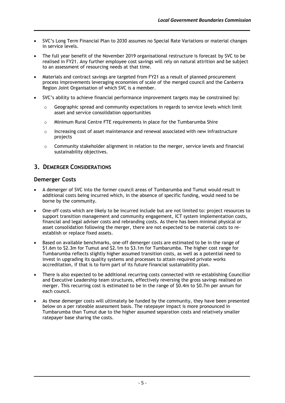- SVC's Long Term Financial Plan to 2030 assumes no Special Rate Variations or material changes in service levels.
- The full year benefit of the November 2019 organisational restructure is forecast by SVC to be realised in FY21. Any further employee cost savings will rely on natural attrition and be subject to an assessment of resourcing needs at that time.
- Materials and contract savings are targeted from FY21 as a result of planned procurement process improvements leveraging economies of scale of the merged council and the Canberra Region Joint Organisation of which SVC is a member.
- SVC's ability to achieve financial performance improvement targets may be constrained by:
	- o Geographic spread and community expectations in regards to service levels which limit asset and service consolidation opportunities
	- o Minimum Rural Centre FTE requirements in place for the Tumbarumba Shire
	- $\circ$  Increasing cost of asset maintenance and renewal associated with new infrastructure projects
	- $\circ$  Community stakeholder alignment in relation to the merger, service levels and financial sustainability objectives.

## **3. DEMERGER CONSIDERATIONS**

## **Demerger Costs**

- A demerger of SVC into the former council areas of Tumbarumba and Tumut would result in additional costs being incurred which, in the absence of specific funding, would need to be borne by the community.
- One-off costs which are likely to be incurred include but are not limited to: project resources to support transition management and community engagement, ICT system implementation costs, financial and legal adviser costs and rebranding costs. As there has been minimal physical or asset consolidation following the merger, there are not expected to be material costs to reestablish or replace fixed assets.
- Based on available benchmarks, one-off demerger costs are estimated to be in the range of \$1.6m to \$2.3m for Tumut and \$2.1m to \$3.1m for Tumbarumba. The higher cost range for Tumbarumba reflects slightly higher assumed transition costs, as well as a potential need to invest in upgrading its quality systems and processes to attain required private works accreditation, if that is to form part of its future financial sustainability plan.
- There is also expected to be additional recurring costs connected with re-establishing Councillor and Executive Leadership team structures, effectively reversing the gross savings realised on merger. This recurring cost is estimated to be in the range of \$0.4m to \$0.7m per annum for each council.
- As these demerger costs will ultimately be funded by the community, they have been presented below on a per rateable assessment basis. The ratepayer impact is more pronounced in Tumbarumba than Tumut due to the higher assumed separation costs and relatively smaller ratepayer base sharing the costs.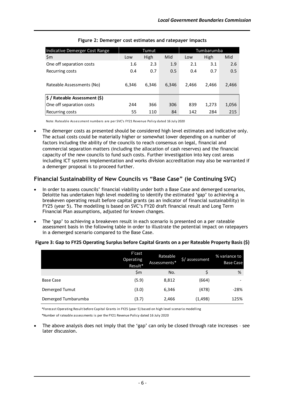| Indicative Demerger Cost Range |       | Tumut |       |       | Tumbarumba |       |
|--------------------------------|-------|-------|-------|-------|------------|-------|
| $\mathsf{S}$ m                 | Low   | High  | Mid   | Low   | High       | Mid   |
| One off separation costs       | 1.6   | 2.3   | 1.9   | 2.1   | 3.1        | 2.6   |
| Recurring costs                | 0.4   | 0.7   | 0.5   | 0.4   | 0.7        | 0.5   |
| Rateable Assessments (No)      | 6.346 | 6.346 | 6.346 | 2.466 | 2.466      | 2,466 |
| \$ / Rateable Assessment (\$)  |       |       |       |       |            |       |
| One off separation costs       | 244   | 366   | 306   | 839   | 1,273      | 1,056 |
| Recurring costs                | 55    | 110   | 84    | 142   | 284        | 215   |

**Figure 2: Demerger cost estimates and ratepayer impacts**

Note: Rateable Assessment numbers are per SVC's FY21 Revenue Policy dated 16 July 2020

The demerger costs as presented should be considered high level estimates and indicative only. The actual costs could be materially higher or somewhat lower depending on a number of factors including the ability of the councils to reach consensus on legal, financial and commercial separation matters (including the allocation of cash reserves) and the financial capacity of the new councils to fund such costs. Further investigation into key cost areas including ICT systems implementation and works division accreditation may also be warranted if a demerger proposal is to proceed further.

# **Financial Sustainability of New Councils vs "Base Case" (ie Continuing SVC)**

- In order to assess councils' financial viability under both a Base Case and demerged scenarios, Deloitte has undertaken high level modelling to identify the estimated 'gap' to achieving a breakeven operating result before capital grants (as an indicator of financial sustainability) in FY25 (year 5). The modelling is based on SVC's FY20 draft financial result and Long Term Financial Plan assumptions, adjusted for known changes.
- The 'gap' to achieving a breakeven result in each scenario is presented on a per rateable assessment basis in the following table in order to illustrate the potential impact on ratepayers in a demerged scenario compared to the Base Case.

|                     | F'cast<br>Operating<br>Result* | Rateable<br>Assessments* | \$/ assessment | % variance to<br><b>Base Case</b> |
|---------------------|--------------------------------|--------------------------|----------------|-----------------------------------|
|                     | \$m                            | No.                      |                | %                                 |
| Base Case           | (5.9)                          | 8,812                    | (664)          | -                                 |
| Demerged Tumut      | (3.0)                          | 6,346                    | (478)          | $-28%$                            |
| Demerged Tumbarumba | (3.7)                          | 2,466                    | (1,498)        | 125%                              |

#### **Figure 3: Gap to FY25 Operating Surplus before Capital Grants on a per Rateable Property Basis (\$)**

\*Forecast Operating Result before Capital Grants in FY25 (year 5) based on high level scenario modelling \*Number of rateable assessments is per the FY21 Revenue Policy dated 16 July 2020

• The above analysis does not imply that the 'gap' can only be closed through rate increases – see later discussion.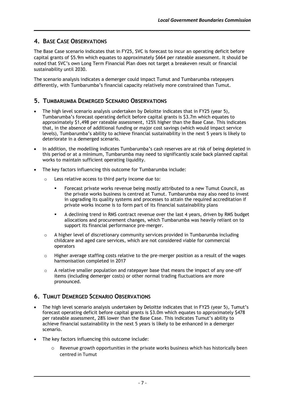# **4. BASE CASE OBSERVATIONS**

The Base Case scenario indicates that in FY25, SVC is forecast to incur an operating deficit before capital grants of \$5.9m which equates to approximately \$664 per rateable assessment. It should be noted that SVC's own Long Term Financial Plan does not target a breakeven result or financial sustainability until 2030.

The scenario analysis indicates a demerger could impact Tumut and Tumbarumba ratepayers differently, with Tumbarumba's financial capacity relatively more constrained than Tumut.

# **5. TUMBARUMBA DEMERGED SCENARIO OBSERVATIONS**

- The high level scenario analysis undertaken by Deloitte indicates that in FY25 (year 5), Tumbarumba's forecast operating deficit before capital grants is \$3.7m which equates to approximately \$1,498 per rateable assessment, 125% higher than the Base Case. This indicates that, in the absence of additional funding or major cost savings (which would impact service levels), Tumbarumba's ability to achieve financial sustainability in the next 5 years is likely to deteriorate in a demerged scenario.
- In addition, the modelling indicates Tumbarumba's cash reserves are at risk of being depleted in this period or at a minimum, Tumbarumba may need to significantly scale back planned capital works to maintain sufficient operating liquidity.
- The key factors influencing this outcome for Tumbarumba include:
	- o Less relative access to third party income due to:
		- Forecast private works revenue being mostly attributed to a new Tumut Council, as the private works business is centred at Tumut. Tumbarumba may also need to invest in upgrading its quality systems and processes to attain the required accreditation if private works income is to form part of its financial sustainability plans
		- A declining trend in RMS contract revenue over the last 4 years, driven by RMS budget allocations and procurement changes, which Tumbarumba was heavily reliant on to support its financial performance pre-merger.
	- $\circ$  A higher level of discretionary community services provided in Tumbarumba including childcare and aged care services, which are not considered viable for commercial operators
	- $\circ$  Higher average staffing costs relative to the pre-merger position as a result of the wages harmonisation completed in 2017
	- o A relative smaller population and ratepayer base that means the impact of any one-off items (including demerger costs) or other normal trading fluctuations are more pronounced.

# **6. TUMUT DEMERGED SCENARIO OBSERVATIONS**

- The high level scenario analysis undertaken by Deloitte indicates that in FY25 (year 5), Tumut's forecast operating deficit before capital grants is \$3.0m which equates to approximately \$478 per rateable assessment, 28% lower than the Base Case. This indicates Tumut's ability to achieve financial sustainability in the next 5 years is likely to be enhanced in a demerger scenario.
- The key factors influencing this outcome include:
	- o Revenue growth opportunities in the private works business which has historically been centred in Tumut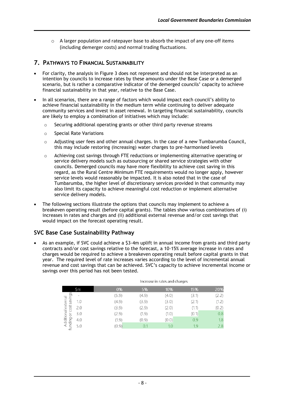$\circ$  A larger population and ratepayer base to absorb the impact of any one-off items (including demerger costs) and normal trading fluctuations.

# **7. PATHWAYS TO FINANCIAL SUSTAINABILITY**

- For clarity, the analysis in Figure 3 does not represent and should not be interpreted as an intention by councils to increase rates by these amounts under the Base Case or a demerged scenario, but is rather a comparative indicator of the demerged councils' capacity to achieve financial sustainability in that year, relative to the Base Case.
- In all scenarios, there are a range of factors which would impact each council's ability to achieve financial sustainability in the medium term while continuing to deliver adequate community services and invest in asset renewal. In targeting financial sustainability, councils are likely to employ a combination of initiatives which may include:
	- $\circ$  Securing additional operating grants or other third party revenue streams
	- o Special Rate Variations
	- $\circ$  Adjusting user fees and other annual charges. In the case of a new Tumbarumba Council, this may include restoring (increasing) water charges to pre-harmonised levels
	- $\circ$  Achieving cost savings through FTE reductions or implementing alternative operating or service delivery models such as outsourcing or shared service strategies with other councils. Demerged councils may have more flexibility to achieve cost saving in this regard, as the Rural Centre Minimum FTE requirements would no longer apply, however service levels would reasonably be impacted. It is also noted that in the case of Tumbarumba, the higher level of discretionary services provided in that community may also limit its capacity to achieve meaningful cost reduction or implement alternative service delivery models.
- The following sections illustrate the options that councils may implement to achieve a breakeven operating result (before capital grants). The tables show various combinations of (i) increases in rates and charges and (ii) additional external revenue and/or cost savings that would impact on the forecast operating result.

# **SVC Base Case Sustainability Pathway**

• As an example, if SVC could achieve a \$3-4m uplift in annual income from grants and third party contracts and/or cost savings relative to the forecast, a 10-15% average increase in rates and charges would be required to achieve a breakeven operating result before capital grants in that year. The required level of rate increases varies according to the level of incremental annual revenue and cost savings that can be achieved. SVC's capacity to achieve incremental income or savings over this period has not been tested.

|                     |                     |       | Increase in rates and charges |       |       |       |  |  |  |
|---------------------|---------------------|-------|-------------------------------|-------|-------|-------|--|--|--|
|                     | Ъm                  | 0%    | 5%                            | 10%   | 15%   | 20%   |  |  |  |
|                     | $\overline{2}$<br>- | (5.9) | (4.9)                         | (4.0) | (3.1) | (2.2) |  |  |  |
| Additional external | pulve<br>1.0<br>S   | (4.9) | (3.9)                         | (3.0) | (2.1) | (1.2) |  |  |  |
|                     | ost<br>2.0          | (3.9) | (2.9)                         | (2.0) | (1.1) | (0.2) |  |  |  |
|                     | 3.0<br>ŏ            | (2.9) | (1.9)                         | (1.0) | (0.1) | 0.8   |  |  |  |
|                     | 4.0                 | (1.9) | (0.9)                         | (0.0) | 0.9   | 1.8   |  |  |  |
|                     | puipuni<br>5.0      | (0.9) | 0.1                           | 1.0   | 1.9   | 2.8   |  |  |  |
|                     |                     |       |                               |       |       |       |  |  |  |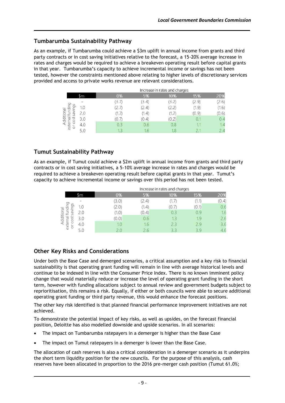# **Tumbarumba Sustainability Pathway**

As an example, if Tumbarumba could achieve a \$3m uplift in annual income from grants and third party contracts or in cost saving initiatives relative to the forecast, a 15-20% average increase in rates and charges would be required to achieve a breakeven operating result before capital grants in that year. Tumbarumba's capacity to achieve incremental income or savings has not been tested, however the constraints mentioned above relating to higher levels of discretionary services provided and access to private works revenue are relevant considerations.

|                               |     | Increase in rates and charges |       |       |                 |       |  |  |
|-------------------------------|-----|-------------------------------|-------|-------|-----------------|-------|--|--|
|                               |     | 0%                            | 5%    | 10%   | 15%             | 20%   |  |  |
| ₫                             |     | (3.7)                         | (3.4) | (3.2) | (2.9)           | (2.6) |  |  |
| ⊻<br>$\overline{\phantom{a}}$ | 1 N | 2.7)                          | (2.4) | 2.2)  | (1.9)           | (1.6) |  |  |
| ditiona<br>≒<br>ω             | 2.0 | (1.7)                         | (1.4) | (1.2) | (0.9)           | (0.6) |  |  |
| g<br>U                        | 3.0 | 0.7                           | (0.4) | (0.2) | 0.1             | 0.4   |  |  |
| exter<br>$\sim$<br>$\circ$    | 4.0 | 0.3                           | 0.6   | 0.8   | $4 - 4$<br>н. н | 1.4   |  |  |
|                               |     | 1.3                           | 1.6   | 1.8   |                 | 2.4   |  |  |

# **Tumut Sustainability Pathway**

As an example, if Tumut could achieve a \$2m uplift in annual income from grants and third party contracts or in cost saving initiatives, a 5-10% average increase in rates and charges would be required to achieve a breakeven operating result before capital grants in that year. Tumut's capacity to achieve incremental income or savings over this period has not been tested.

|                                         |     | Increase in rates and charges |       |       |       |       |  |  |
|-----------------------------------------|-----|-------------------------------|-------|-------|-------|-------|--|--|
|                                         |     | 0%                            | 5%    | 10%   | 15%   | 20%   |  |  |
|                                         |     | (3.0)                         | (2.4) | 1.7   | (1.1) | (0.4) |  |  |
| 느<br>넘<br>$\overline{c}$                | 1 N | (2.0)                         | (1.4) | 0.7   | (0.1) | 0.6   |  |  |
| æ                                       | 2.0 | (1.0)                         | (0.4) | 0.3   | 0.9   | 1.6   |  |  |
| Additi<br>$\overline{\mathbb{P}}$<br>U) | 3.0 | (0.0)                         | 0.6   | 1.3   | 1.9   | 2.6   |  |  |
| exter<br>ŏ                              |     | 1.0                           | 1.6   | 2.3   | 2.9   | 3.6   |  |  |
|                                         |     | 2.0                           | 2.6   | -21-2 | 39    | 4.6   |  |  |

# **Other Key Risks and Considerations**

Under both the Base Case and demerged scenarios, a critical assumption and a key risk to financial sustainability is that operating grant funding will remain in line with average historical levels and continue to be indexed in line with the Consumer Price Index. There is no known imminent policy change that would materially reduce or increase the level of operating grant funding in the short term, however with funding allocations subject to annual review and government budgets subject to reprioritisation, this remains a risk. Equally, if either or both councils were able to secure additional operating grant funding or third party revenue, this would enhance the forecast positions.

The other key risk identified is that planned financial performance improvement initiatives are not achieved.

To demonstrate the potential impact of key risks, as well as upsides, on the forecast financial position, Deloitte has also modelled downside and upside scenarios. In all scenarios:

- The impact on Tumbarumba ratepayers in a demerger is higher than the Base Case
- The impact on Tumut ratepayers in a demerger is lower than the Base Case.

The allocation of cash reserves is also a critical consideration in a demerger scenario as it underpins the short term liquidity position for the new councils. For the purpose of this analysis, cash reserves have been allocated in proportion to the 2016 pre-merger cash position (Tumut 61.0%;